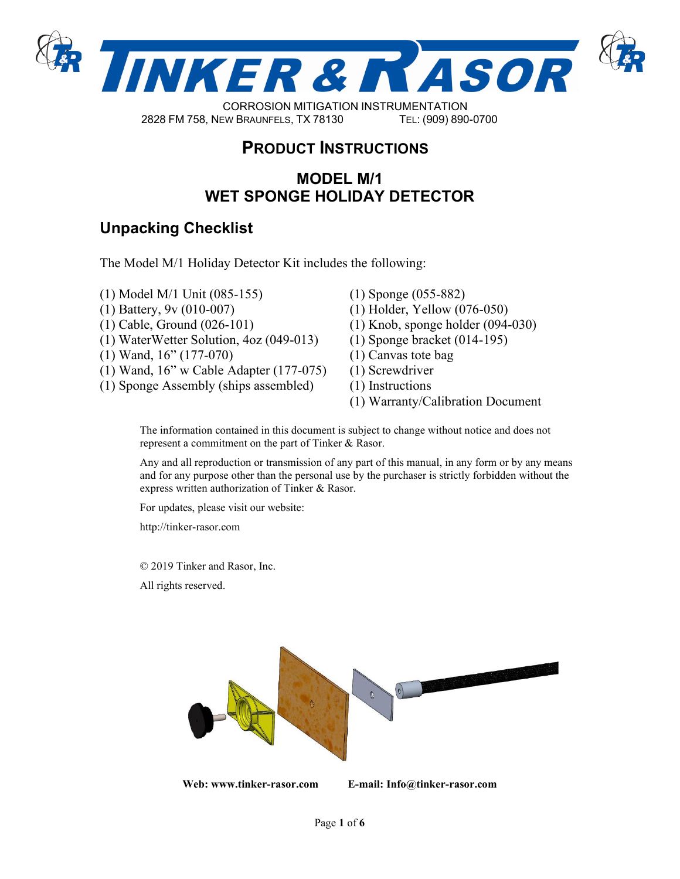

2828 FM 758, NEW BRAUNFELS, TX 78130 TEL: (830) 253-5621

# **PRODUCT INSTRUCTIONS**

## **MODEL M/1 WET SPONGE HOLIDAY DETECTOR**

## **Unpacking Checklist**

The Model M/1 Holiday Detector Kit includes the following:

- (1) Model M/1 Unit (085-155)
- (1) Battery, 9v (010-007)
- (1) Cable, Ground (026-101)
- (1) WaterWetter Solution, 4oz (049-013)
- (1) Wand, 16" (177-070)
- (1) Wand, 16" w Cable Adapter (177-075)
- (1) Sponge Assembly (ships assembled)
- (1) Sponge (055-882)
- (1) Holder, Yellow (076-050)
- (1) Knob, sponge holder (094-030)
- (1) Sponge bracket (014-195)
- (1) Canvas tote bag
- (1) Screwdriver
- (1) Instructions
- (1) Warranty/Calibration Document

The information contained in this document is subject to change without notice and does not represent a commitment on the part of Tinker & Rasor.

Any and all reproduction or transmission of any part of this manual, in any form or by any means and for any purpose other than the personal use by the purchaser is strictly forbidden without the express written authorization of Tinker & Rasor.

For updates, please visit our website:

http://tinker-rasor.com

© 2019 Tinker and Rasor, Inc.

All rights reserved.

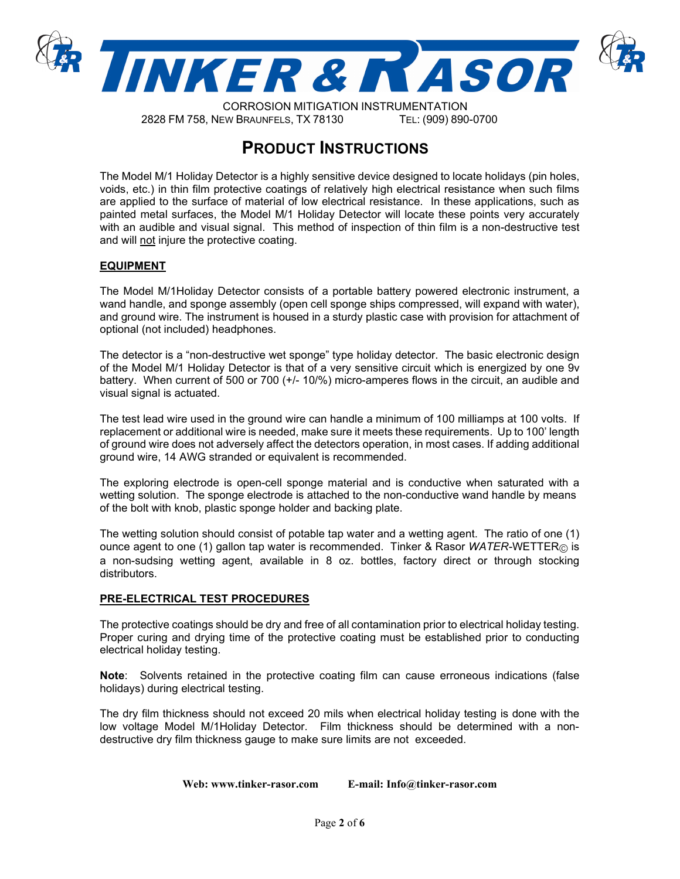

 CORROSION MITIGATION INSTRUMENTATION 2828 FM 758, NEW BRAUNFELS, TX 78130 TEL: (830) 253-5621

## **PRODUCT INSTRUCTIONS**

The Model M/1 Holiday Detector is a highly sensitive device designed to locate holidays (pin holes, voids, etc.) in thin film protective coatings of relatively high electrical resistance when such films are applied to the surface of material of low electrical resistance. In these applications, such as painted metal surfaces, the Model M/1 Holiday Detector will locate these points very accurately with an audible and visual signal. This method of inspection of thin film is a non-destructive test and will not injure the protective coating.

#### **EQUIPMENT**

The Model M/1Holiday Detector consists of a portable battery powered electronic instrument, a wand handle, and sponge assembly (open cell sponge ships compressed, will expand with water), and ground wire. The instrument is housed in a sturdy plastic case with provision for attachment of optional (not included) headphones.

The detector is a "non-destructive wet sponge" type holiday detector. The basic electronic design of the Model M/1 Holiday Detector is that of a very sensitive circuit which is energized by one 9v battery. When current of 500 or 700 (+/- 10/%) micro-amperes flows in the circuit, an audible and visual signal is actuated.

The test lead wire used in the ground wire can handle a minimum of 100 milliamps at 100 volts. If replacement or additional wire is needed, make sure it meets these requirements. Up to 100' length of ground wire does not adversely affect the detectors operation, in most cases. If adding additional ground wire, 14 AWG stranded or equivalent is recommended.

The exploring electrode is open-cell sponge material and is conductive when saturated with a wetting solution. The sponge electrode is attached to the non-conductive wand handle by means of the bolt with knob, plastic sponge holder and backing plate.

The wetting solution should consist of potable tap water and a wetting agent. The ratio of one (1) ounce agent to one (1) gallon tap water is recommended. Tinker & Rasor *WATER-*WETTER© is a non-sudsing wetting agent, available in 8 oz. bottles, factory direct or through stocking distributors.

#### **PRE-ELECTRICAL TEST PROCEDURES**

The protective coatings should be dry and free of all contamination prior to electrical holiday testing. Proper curing and drying time of the protective coating must be established prior to conducting electrical holiday testing.

**Note**: Solvents retained in the protective coating film can cause erroneous indications (false holidays) during electrical testing.

The dry film thickness should not exceed 20 mils when electrical holiday testing is done with the low voltage Model M/1Holiday Detector. Film thickness should be determined with a nondestructive dry film thickness gauge to make sure limits are not exceeded.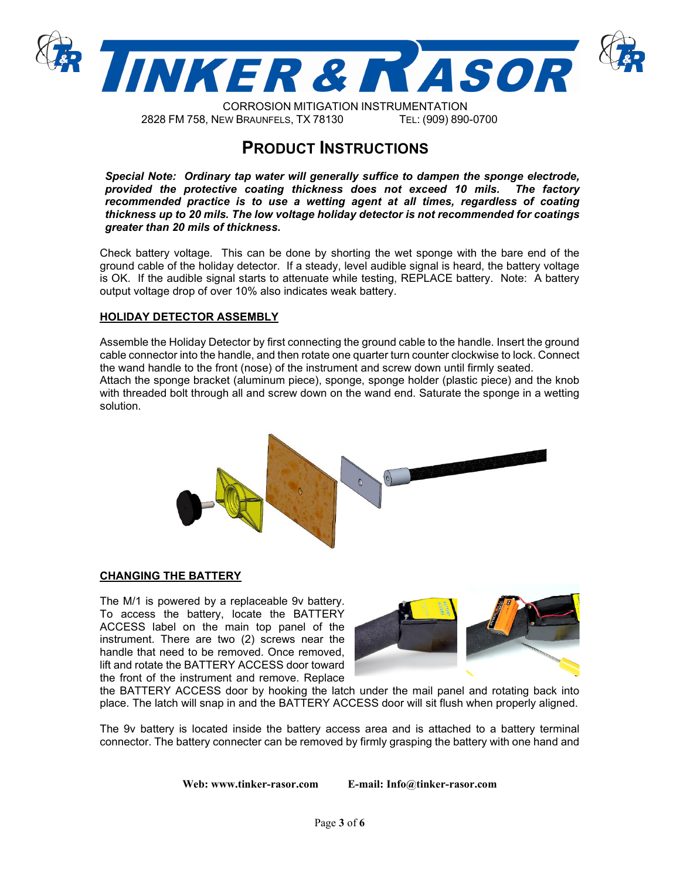

 $\&25526,210,7,7,21,167580$ (177,211) )01(:%5\$81)(/67;7(/

## **PRODUCT INSTRUCTIONS**

*Special Note: Ordinary tap water will generally suffice to dampen the sponge electrode, provided the protective coating thickness does not exceed 10 mils. The factory* provided the protective coating thickness does not exceed 10 mils. *recommended practice is to use a wetting agent at all times, regardless of coating thickness up to 20 mils. The low voltage holiday detector is not recommended for coatings greater than 20 mils of thickness.*

Check battery voltage. This can be done by shorting the wet sponge with the bare end of the ground cable of the holiday detector. If a steady, level audible signal is heard, the battery voltage is OK. If the audible signal starts to attenuate while testing, REPLACE battery. Note: A battery output voltage drop of over 10% also indicates weak battery.

#### **HOLIDAY DETECTOR ASSEMBLY**

Assemble the Holiday Detector by first connecting the ground cable to the handle. Insert the ground cable connector into the handle, and then rotate one quarter turn counter clockwise to lock. Connect the wand handle to the front (nose) of the instrument and screw down until firmly seated. Attach the sponge bracket (aluminum piece), sponge, sponge holder (plastic piece) and the knob with threaded bolt through all and screw down on the wand end. Saturate the sponge in a wetting solution.



#### **CHANGING THE BATTERY**

The M/1 is powered by a replaceable 9v battery. To access the battery, locate the BATTERY ACCESS label on the main top panel of the instrument. There are two (2) screws near the handle that need to be removed. Once removed, lift and rotate the BATTERY ACCESS door toward the front of the instrument and remove. Replace



the BATTERY ACCESS door by hooking the latch under the mail panel and rotating back into place. The latch will snap in and the BATTERY ACCESS door will sit flush when properly aligned.

The 9v battery is located inside the battery access area and is attached to a battery terminal connector. The battery connecter can be removed by firmly grasping the battery with one hand and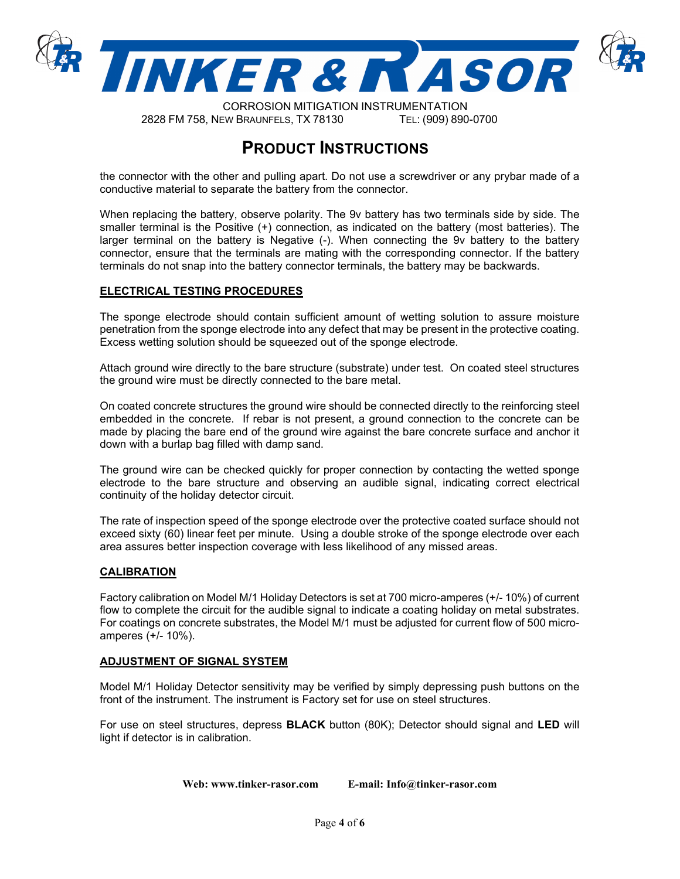

CORROSION MITIGATION INSTRUMENTATION 2828 FM 758, NEW BRAUNFELS, TX 78130 TEL: (909) 890-0700

## **PRODUCT INSTRUCTIONS**

the connector with the other and pulling apart. Do not use a screwdriver or any prybar made of a conductive material to separate the battery from the connector.

When replacing the battery, observe polarity. The 9v battery has two terminals side by side. The smaller terminal is the Positive (+) connection, as indicated on the battery (most batteries). The larger terminal on the battery is Negative (-). When connecting the 9v battery to the battery connector, ensure that the terminals are mating with the corresponding connector. If the battery terminals do not snap into the battery connector terminals, the battery may be backwards.

#### **ELECTRICAL TESTING PROCEDURES**

The sponge electrode should contain sufficient amount of wetting solution to assure moisture penetration from the sponge electrode into any defect that may be present in the protective coating. Excess wetting solution should be squeezed out of the sponge electrode.

Attach ground wire directly to the bare structure (substrate) under test. On coated steel structures the ground wire must be directly connected to the bare metal.

On coated concrete structures the ground wire should be connected directly to the reinforcing steel embedded in the concrete. If rebar is not present, a ground connection to the concrete can be made by placing the bare end of the ground wire against the bare concrete surface and anchor it down with a burlap bag filled with damp sand.

The ground wire can be checked quickly for proper connection by contacting the wetted sponge electrode to the bare structure and observing an audible signal, indicating correct electrical continuity of the holiday detector circuit.

The rate of inspection speed of the sponge electrode over the protective coated surface should not exceed sixty (60) linear feet per minute. Using a double stroke of the sponge electrode over each area assures better inspection coverage with less likelihood of any missed areas.

#### **CALIBRATION**

Factory calibration on Model M/1 Holiday Detectors is set at 700 micro-amperes (+/- 10%) of current flow to complete the circuit for the audible signal to indicate a coating holiday on metal substrates. For coatings on concrete substrates, the Model M/1 must be adjusted for current flow of 500 microamperes (+/- 10%).

#### **ADJUSTMENT OF SIGNAL SYSTEM**

Model M/1 Holiday Detector sensitivity may be verified by simply depressing push buttons on the front of the instrument. The instrument is Factory set for use on steel structures.

For use on steel structures, depress **BLACK** button (80K); Detector should signal and **LED** will light if detector is in calibration.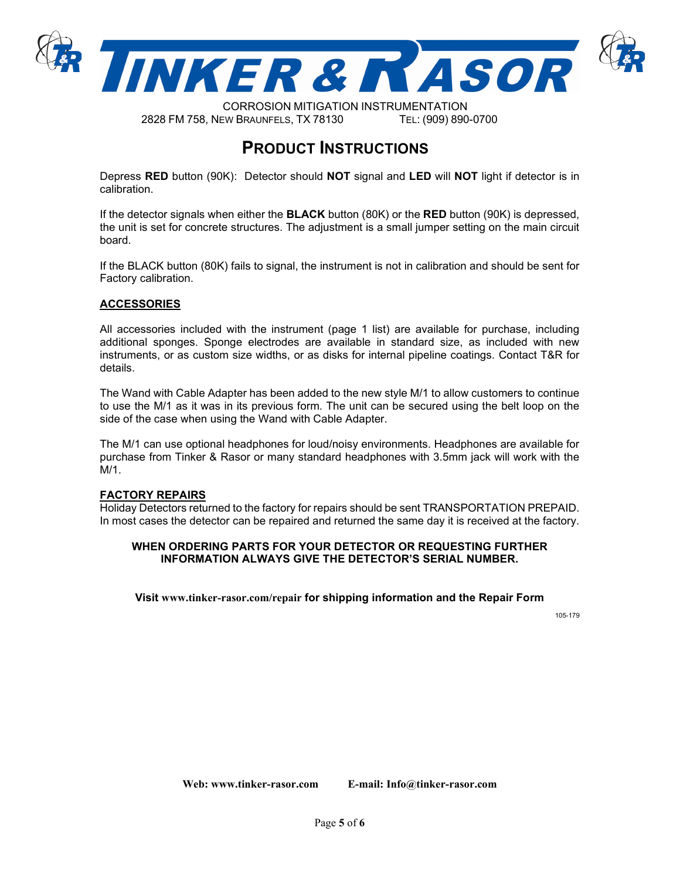

CORROSION MITIGATION INSTRUMENTATION 2828 FM 758, NEW BRAUNFELS, TX 78130 TEL: (909) 890-0700

## **PRODUCT INSTRUCTIONS**

Depress **RED** button (90K): Detector should **NOT** signal and **LED** will **NOT** light if detector is in calibration.

If the detector signals when either the **BLACK** button (80K) or the **RED** button (90K) is depressed, the unit is set for concrete structures. The adjustment is a small jumper setting on the main circuit board.

If the BLACK button (80K) fails to signal, the instrument is not in calibration and should be sent for Factory calibration.

#### **ACCESSORIES**

All accessories included with the instrument (page 1 list) are available for purchase, including additional sponges. Sponge electrodes are available in standard size, as included with new instruments, or as custom size widths, or as disks for internal pipeline coatings. Contact T&R for details.

The Wand with Cable Adapter has been added to the new style M/1 to allow customers to continue to use the M/1 as it was in its previous form. The unit can be secured using the belt loop on the side of the case when using the Wand with Cable Adapter.

The M/1 can use optional headphones for loud/noisy environments. Headphones are available for purchase from Tinker & Rasor or many standard headphones with 3.5mm jack will work with the M/1.

#### **FACTORY REPAIRS**

Holiday Detectors returned to the factory for repairs should be sent TRANSPORTATION PREPAID. In most cases the detector can be repaired and returned the same day it is received at the factory.

#### **WHEN ORDERING PARTS FOR YOUR DETECTOR OR REQUESTING FURTHER INFORMATION ALWAYS GIVE THE DETECTOR'S SERIAL NUMBER.**

**Visit [www.tinker-rasor.com/repair](http://www.tinker-rasor.com/repair) for shipping information and the Repair Form** 

105-179